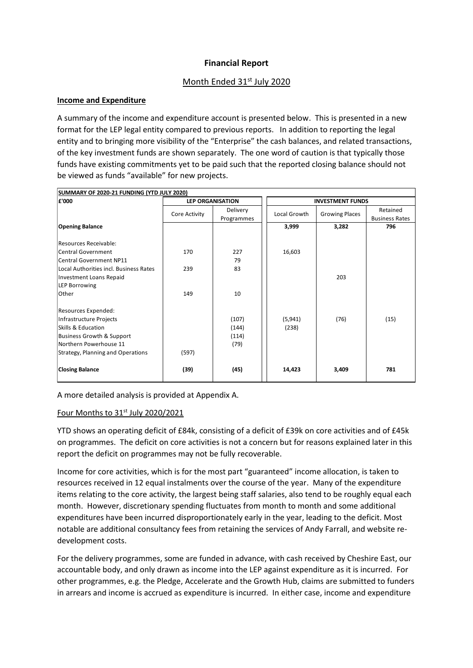# **Financial Report**

# Month Ended 31st July 2020

### **Income and Expenditure**

A summary of the income and expenditure account is presented below. This is presented in a new format for the LEP legal entity compared to previous reports. In addition to reporting the legal entity and to bringing more visibility of the "Enterprise" the cash balances, and related transactions, of the key investment funds are shown separately. The one word of caution is that typically those funds have existing commitments yet to be paid such that the reported closing balance should not be viewed as funds "available" for new projects.

| £'000                                  | <b>LEP ORGANISATION</b> |                        | <b>INVESTMENT FUNDS</b> |                       |                                   |
|----------------------------------------|-------------------------|------------------------|-------------------------|-----------------------|-----------------------------------|
|                                        | Core Activity           | Delivery<br>Programmes | Local Growth            | <b>Growing Places</b> | Retained<br><b>Business Rates</b> |
| <b>Opening Balance</b>                 |                         |                        | 3,999                   | 3,282                 | 796                               |
| Resources Receivable:                  |                         |                        |                         |                       |                                   |
| <b>Central Government</b>              | 170                     | 227                    | 16,603                  |                       |                                   |
| <b>Central Government NP11</b>         |                         | 79                     |                         |                       |                                   |
| Local Authorities incl. Business Rates | 239                     | 83                     |                         |                       |                                   |
| <b>Investment Loans Repaid</b>         |                         |                        |                         | 203                   |                                   |
| <b>LEP Borrowing</b>                   |                         |                        |                         |                       |                                   |
| Other                                  | 149                     | 10                     |                         |                       |                                   |
| Resources Expended:                    |                         |                        |                         |                       |                                   |
| Infrastructure Projects                |                         | (107)                  | (5, 941)                | (76)                  | (15)                              |
| Skills & Education                     |                         | (144)                  | (238)                   |                       |                                   |
| <b>Business Growth &amp; Support</b>   |                         | (114)                  |                         |                       |                                   |
| Northern Powerhouse 11                 |                         | (79)                   |                         |                       |                                   |
| Strategy, Planning and Operations      | (597)                   |                        |                         |                       |                                   |
| <b>Closing Balance</b>                 | (39)                    | (45)                   | 14,423                  | 3,409                 | 781                               |

A more detailed analysis is provided at Appendix A.

## Four Months to  $31<sup>st</sup>$  July 2020/2021

YTD shows an operating deficit of £84k, consisting of a deficit of £39k on core activities and of £45k on programmes. The deficit on core activities is not a concern but for reasons explained later in this report the deficit on programmes may not be fully recoverable.

Income for core activities, which is for the most part "guaranteed" income allocation, is taken to resources received in 12 equal instalments over the course of the year. Many of the expenditure items relating to the core activity, the largest being staff salaries, also tend to be roughly equal each month. However, discretionary spending fluctuates from month to month and some additional expenditures have been incurred disproportionately early in the year, leading to the deficit. Most notable are additional consultancy fees from retaining the services of Andy Farrall, and website redevelopment costs.

For the delivery programmes, some are funded in advance, with cash received by Cheshire East, our accountable body, and only drawn as income into the LEP against expenditure as it is incurred. For other programmes, e.g. the Pledge, Accelerate and the Growth Hub, claims are submitted to funders in arrears and income is accrued as expenditure is incurred. In either case, income and expenditure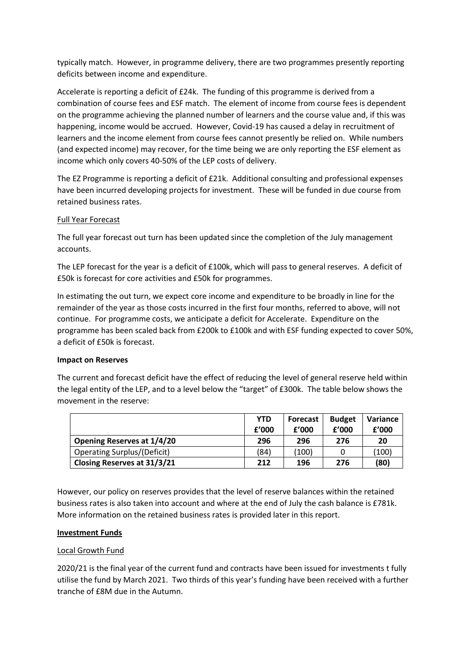typically match. However, in programme delivery, there are two programmes presently reporting deficits between income and expenditure.

Accelerate is reporting a deficit of £24k. The funding of this programme is derived from a combination of course fees and ESF match. The element of income from course fees is dependent on the programme achieving the planned number of learners and the course value and, if this was happening, income would be accrued. However, Covid-19 has caused a delay in recruitment of learners and the income element from course fees cannot presently be relied on. While numbers (and expected income) may recover, for the time being we are only reporting the ESF element as income which only covers 40-50% of the LEP costs of delivery.

The EZ Programme is reporting a deficit of £21k. Additional consulting and professional expenses have been incurred developing projects for investment. These will be funded in due course from retained business rates.

### Full Year Forecast

The full year forecast out turn has been updated since the completion of the July management accounts.

The LEP forecast for the year is a deficit of £100k, which will pass to general reserves. A deficit of £50k is forecast for core activities and £50k for programmes.

In estimating the out turn, we expect core income and expenditure to be broadly in line for the remainder of the year as those costs incurred in the first four months, referred to above, will not continue. For programme costs, we anticipate a deficit for Accelerate. Expenditure on the programme has been scaled back from £200k to £100k and with ESF funding expected to cover 50%, a deficit of £50k is forecast.

#### **Impact on Reserves**

The current and forecast deficit have the effect of reducing the level of general reserve held within the legal entity of the LEP, and to a level below the "target" of £300k. The table below shows the movement in the reserve:

|                                    | <b>YTD</b><br>f'000 | <b>Forecast</b><br>f'000 | <b>Budget</b><br>f'000 | Variance<br>f'000 |
|------------------------------------|---------------------|--------------------------|------------------------|-------------------|
| Opening Reserves at 1/4/20         | 296                 | 296                      | 276                    | 20                |
| <b>Operating Surplus/(Deficit)</b> | (84)                | (100)                    | O                      | (100)             |
| Closing Reserves at 31/3/21        | 212                 | 196                      | 276                    | (80)              |

However, our policy on reserves provides that the level of reserve balances within the retained business rates is also taken into account and where at the end of July the cash balance is £781k. More information on the retained business rates is provided later in this report.

#### **Investment Funds**

#### Local Growth Fund

2020/21 is the final year of the current fund and contracts have been issued for investments t fully utilise the fund by March 2021. Two thirds of this year's funding have been received with a further tranche of £8M due in the Autumn.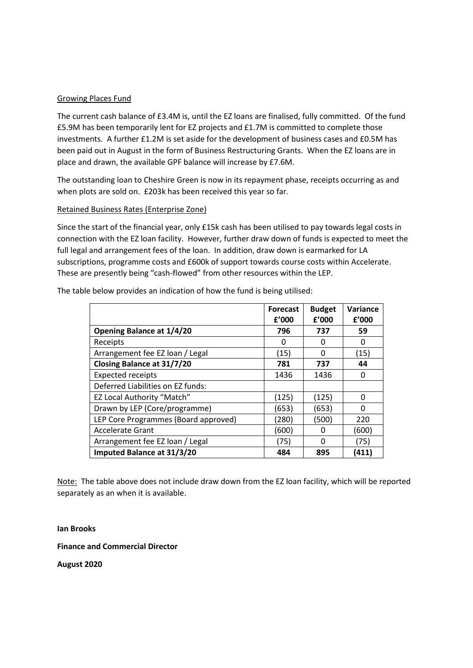### Growing Places Fund

The current cash balance of £3.4M is, until the EZ loans are finalised, fully committed. Of the fund £5.9M has been temporarily lent for EZ projects and £1.7M is committed to complete those investments. A further £1.2M is set aside for the development of business cases and £0.5M has been paid out in August in the form of Business Restructuring Grants. When the EZ loans are in place and drawn, the available GPF balance will increase by £7.6M.

The outstanding loan to Cheshire Green is now in its repayment phase, receipts occurring as and when plots are sold on. £203k has been received this year so far.

### Retained Business Rates (Enterprise Zone)

Since the start of the financial year, only £15k cash has been utilised to pay towards legal costs in connection with the EZ loan facility. However, further draw down of funds is expected to meet the full legal and arrangement fees of the loan. In addition, draw down is earmarked for LA subscriptions, programme costs and £600k of support towards course costs within Accelerate. These are presently being "cash-flowed" from other resources within the LEP.

|                                      | <b>Forecast</b><br>f'000 | <b>Budget</b><br>f'000 | Variance<br>f'000 |
|--------------------------------------|--------------------------|------------------------|-------------------|
| <b>Opening Balance at 1/4/20</b>     | 796                      | 737                    | 59                |
| Receipts                             | O                        | ŋ                      | O                 |
| Arrangement fee EZ loan / Legal      | (15)                     | O                      | (15)              |
| Closing Balance at 31/7/20           | 781                      | 737                    | 44                |
| <b>Expected receipts</b>             | 1436                     | 1436                   | 0                 |
| Deferred Liabilities on EZ funds:    |                          |                        |                   |
| <b>EZ Local Authority "Match"</b>    | (125)                    | (125)                  | O                 |
| Drawn by LEP (Core/programme)        | (653)                    | (653)                  | O                 |
| LEP Core Programmes (Board approved) | (280)                    | (500)                  | 220               |
| <b>Accelerate Grant</b>              | (600)                    |                        | (600)             |
| Arrangement fee EZ loan / Legal      | (75)                     | ŋ                      | (75)              |
| <b>Imputed Balance at 31/3/20</b>    | 484                      | 895                    | (411              |

The table below provides an indication of how the fund is being utilised:

Note: The table above does not include draw down from the EZ loan facility, which will be reported separately as an when it is available.

#### **Ian Brooks**

#### **Finance and Commercial Director**

**August 2020**